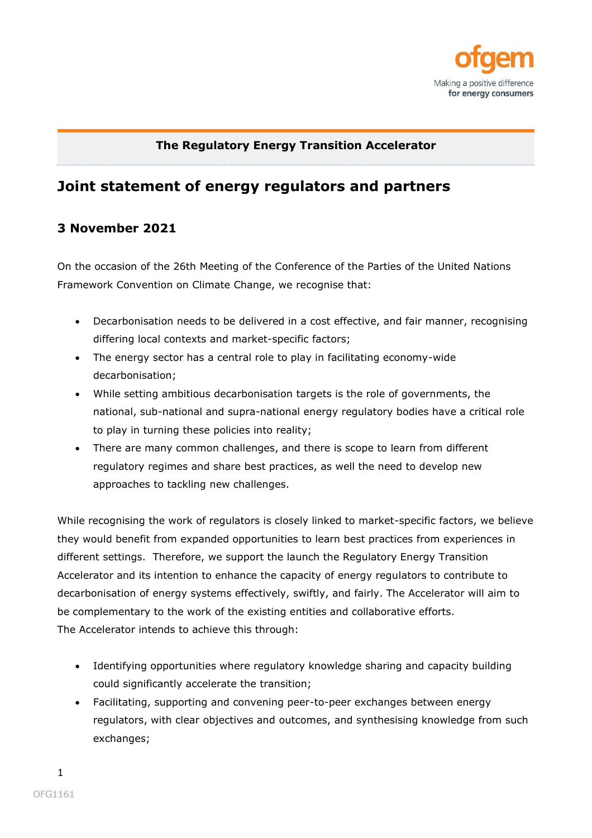

## **The Regulatory Energy Transition Accelerator**

## **Joint statement of energy regulators and partners**

## **3 November 2021**

On the occasion of the 26th Meeting of the Conference of the Parties of the United Nations Framework Convention on Climate Change, we recognise that:

- Decarbonisation needs to be delivered in a cost effective, and fair manner, recognising differing local contexts and market-specific factors;
- The energy sector has a central role to play in facilitating economy-wide decarbonisation;
- While setting ambitious decarbonisation targets is the role of governments, the national, sub-national and supra-national energy regulatory bodies have a critical role to play in turning these policies into reality;
- There are many common challenges, and there is scope to learn from different regulatory regimes and share best practices, as well the need to develop new approaches to tackling new challenges.

While recognising the work of regulators is closely linked to market-specific factors, we believe they would benefit from expanded opportunities to learn best practices from experiences in different settings. Therefore, we support the launch the Regulatory Energy Transition Accelerator and its intention to enhance the capacity of energy regulators to contribute to decarbonisation of energy systems effectively, swiftly, and fairly. The Accelerator will aim to be complementary to the work of the existing entities and collaborative efforts. The Accelerator intends to achieve this through:

- Identifying opportunities where regulatory knowledge sharing and capacity building could significantly accelerate the transition;
- Facilitating, supporting and convening peer-to-peer exchanges between energy regulators, with clear objectives and outcomes, and synthesising knowledge from such exchanges;